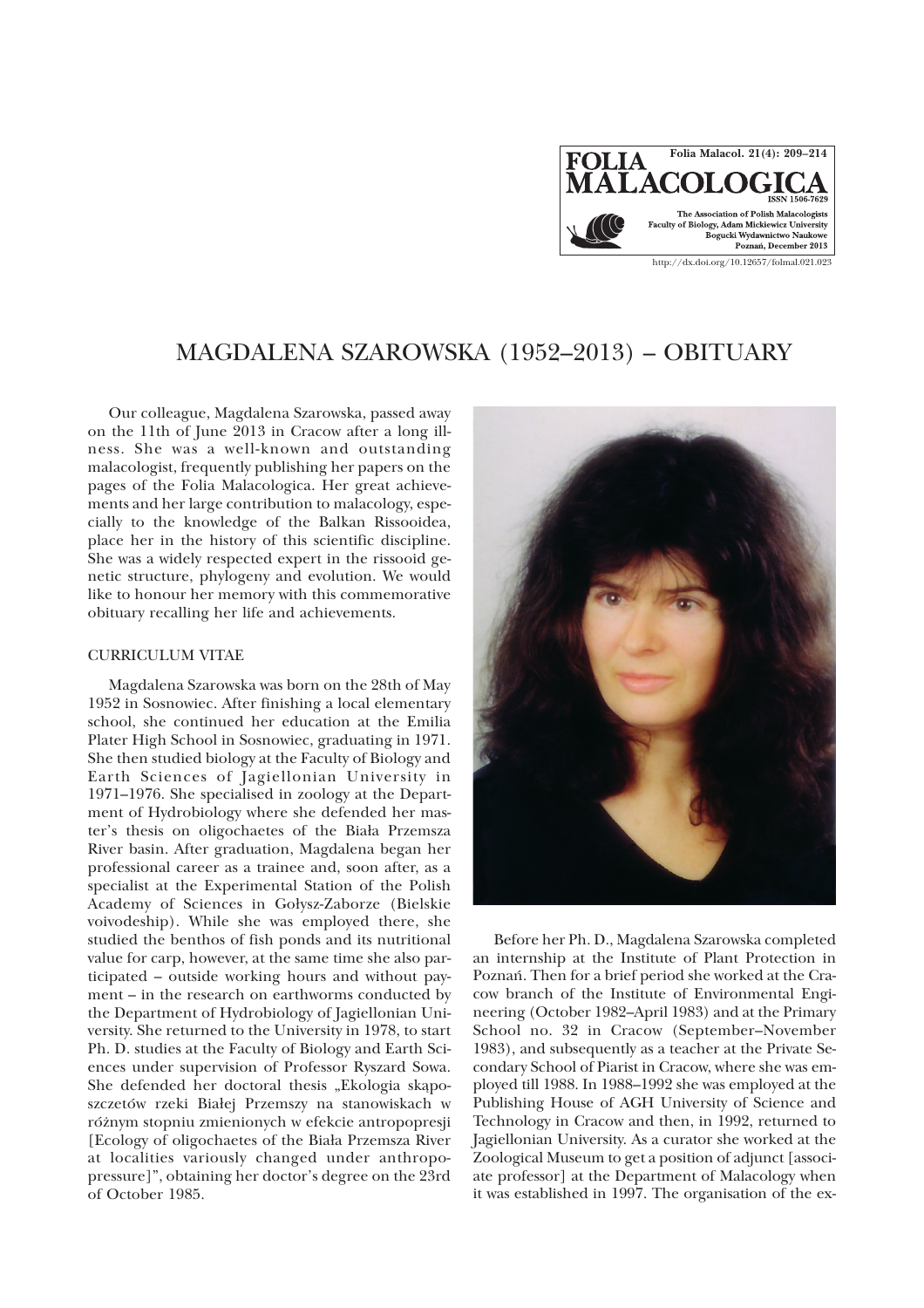

# MAGDALENA SZAROWSKA (1952–2013) – OBITUARY

Our colleague, Magdalena Szarowska, passed away on the 11th of June 2013 in Cracow after a long illness. She was a well-known and outstanding malacologist, frequently publishing her papers on the pages of the Folia Malacologica. Her great achievements and her large contribution to malacology, especially to the knowledge of the Balkan Rissooidea, place her in the history of this scientific discipline. She was a widely respected expert in the rissooid genetic structure, phylogeny and evolution. We would like to honour her memory with this commemorative obituary recalling her life and achievements.

### CURRICULUM VITAE

Magdalena Szarowska was born on the 28th of May 1952 in Sosnowiec. After finishing a local elementary school, she continued her education at the Emilia Plater High School in Sosnowiec, graduating in 1971. She then studied biology at the Faculty of Biology and Earth Sciences of Jagiellonian University in 1971–1976. She specialised in zoology at the Department of Hydrobiology where she defended her master's thesis on oligochaetes of the Biała Przemsza River basin. After graduation, Magdalena began her professional career as a trainee and, soon after, as a specialist at the Experimental Station of the Polish Academy of Sciences in Gołysz-Zaborze (Bielskie voivodeship). While she was employed there, she studied the benthos of fish ponds and its nutritional value for carp, however, at the same time she also participated – outside working hours and without payment – in the research on earthworms conducted by the Department of Hydrobiology of Jagiellonian University. She returned to the University in 1978, to start Ph. D. studies at the Faculty of Biology and Earth Sciences under supervision of Professor Ryszard Sowa. She defended her doctoral thesis "Ekologia skaposzczetów rzeki Białej Przemszy na stanowiskach w ró¿nym stopniu zmienionych w efekcie antropopresji [Ecology of oligochaetes of the Biała Przemsza River at localities variously changed under anthropopressure]", obtaining her doctor's degree on the 23rd of October 1985.



Before her Ph. D., Magdalena Szarowska completed an internship at the Institute of Plant Protection in Poznañ. Then for a brief period she worked at the Cracow branch of the Institute of Environmental Engineering (October 1982–April 1983) and at the Primary School no. 32 in Cracow (September–November 1983), and subsequently as a teacher at the Private Secondary School of Piarist in Cracow, where she was employed till 1988. In 1988–1992 she was employed at the Publishing House of AGH University of Science and Technology in Cracow and then, in 1992, returned to Jagiellonian University. As a curator she worked at the Zoological Museum to get a position of adjunct [associate professor] at the Department of Malacology when it was established in 1997. The organisation of the ex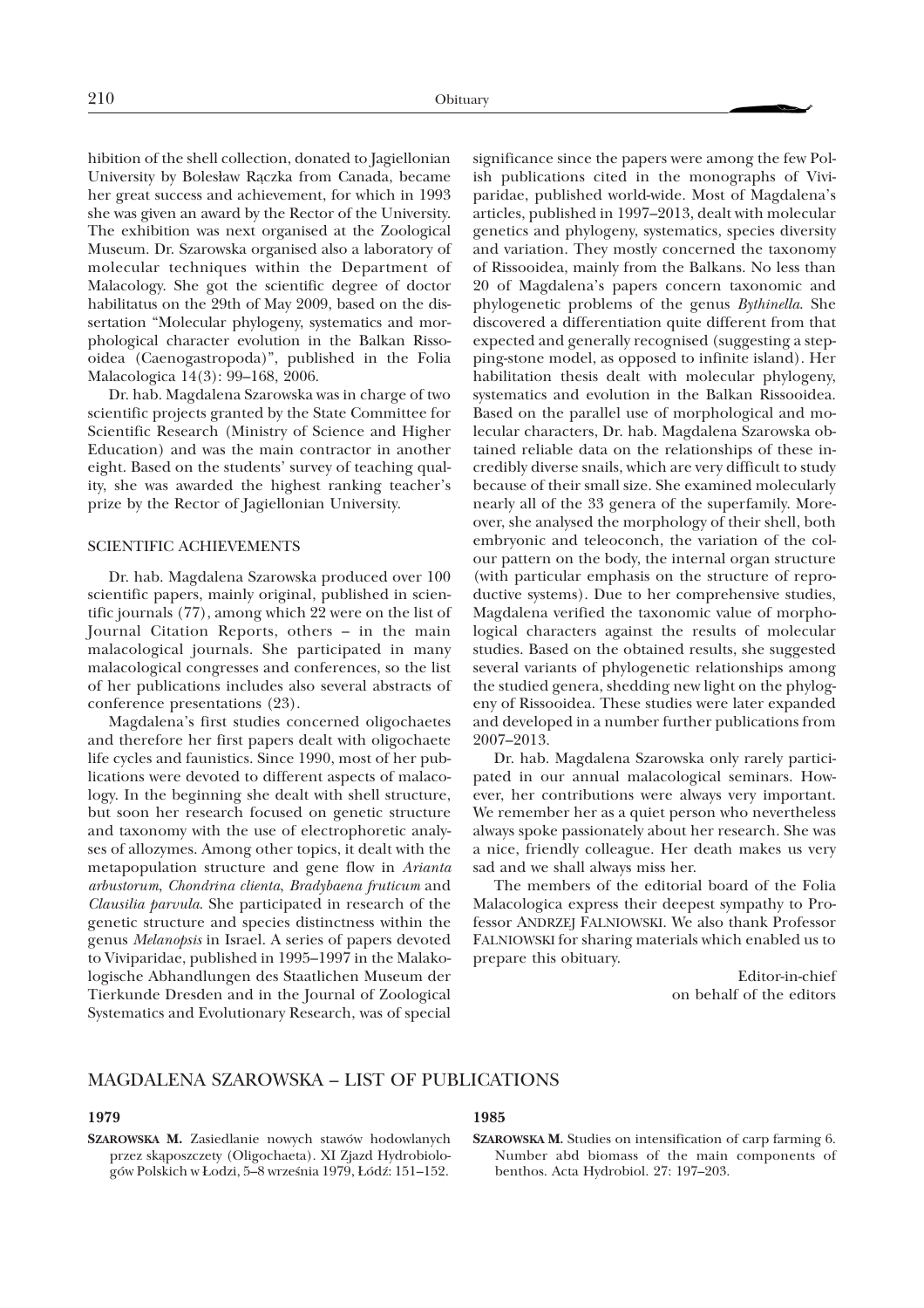hibition of the shell collection, donated to Jagiellonian University by Bolesław Rączka from Canada, became her great success and achievement, for which in 1993 she was given an award by the Rector of the University. The exhibition was next organised at the Zoological Museum. Dr. Szarowska organised also a laboratory of molecular techniques within the Department of Malacology. She got the scientific degree of doctor habilitatus on the 29th of May 2009, based on the dissertation "Molecular phylogeny, systematics and morphological character evolution in the Balkan Rissooidea (Caenogastropoda)", published in the Folia Malacologica 14(3): 99–168, 2006.

Dr. hab. Magdalena Szarowska was in charge of two scientific projects granted by the State Committee for Scientific Research (Ministry of Science and Higher Education) and was the main contractor in another eight. Based on the students' survey of teaching quality, she was awarded the highest ranking teacher's prize by the Rector of Jagiellonian University.

### SCIENTIFIC ACHIEVEMENTS

Dr. hab. Magdalena Szarowska produced over 100 scientific papers, mainly original, published in scientific journals (77), among which 22 were on the list of Journal Citation Reports, others – in the main malacological journals. She participated in many malacological congresses and conferences, so the list of her publications includes also several abstracts of conference presentations (23).

Magdalena's first studies concerned oligochaetes and therefore her first papers dealt with oligochaete life cycles and faunistics. Since 1990, most of her publications were devoted to different aspects of malacology. In the beginning she dealt with shell structure, but soon her research focused on genetic structure and taxonomy with the use of electrophoretic analyses of allozymes. Among other topics, it dealt with the metapopulation structure and gene flow in *Arianta arbustorum*, *Chondrina clienta*, *Bradybaena fruticum* and *Clausilia parvula*. She participated in research of the genetic structure and species distinctness within the genus *Melanopsis* in Israel. A series of papers devoted to Viviparidae, published in 1995–1997 in the Malakologische Abhandlungen des Staatlichen Museum der Tierkunde Dresden and in the Journal of Zoological Systematics and Evolutionary Research, was of special

significance since the papers were among the few Polish publications cited in the monographs of Viviparidae, published world-wide. Most of Magdalena's articles, published in 1997–2013, dealt with molecular genetics and phylogeny, systematics, species diversity and variation. They mostly concerned the taxonomy of Rissooidea, mainly from the Balkans. No less than 20 of Magdalena's papers concern taxonomic and phylogenetic problems of the genus *Bythinella*. She discovered a differentiation quite different from that expected and generally recognised (suggesting a stepping-stone model, as opposed to infinite island). Her habilitation thesis dealt with molecular phylogeny, systematics and evolution in the Balkan Rissooidea. Based on the parallel use of morphological and molecular characters, Dr. hab. Magdalena Szarowska obtained reliable data on the relationships of these incredibly diverse snails, which are very difficult to study because of their small size. She examined molecularly nearly all of the 33 genera of the superfamily. Moreover, she analysed the morphology of their shell, both embryonic and teleoconch, the variation of the colour pattern on the body, the internal organ structure (with particular emphasis on the structure of reproductive systems). Due to her comprehensive studies, Magdalena verified the taxonomic value of morphological characters against the results of molecular studies. Based on the obtained results, she suggested several variants of phylogenetic relationships among the studied genera, shedding new light on the phylogeny of Rissooidea. These studies were later expanded and developed in a number further publications from 2007–2013.

Dr. hab. Magdalena Szarowska only rarely participated in our annual malacological seminars. However, her contributions were always very important. We remember her as a quiet person who nevertheless always spoke passionately about her research. She was a nice, friendly colleague. Her death makes us very sad and we shall always miss her.

The members of the editorial board of the Folia Malacologica express their deepest sympathy to Professor ANDRZEJ FALNIOWSKI. We also thank Professor FALNIOWSKI for sharing materials which enabled us to prepare this obituary.

> Editor-in-chief on behalf of the editors

### MAGDALENA SZAROWSKA – LIST OF PUBLICATIONS

#### **1979**

**SZAROWSKA M.** Zasiedlanie nowych stawów hodowlanych przez skąposzczety (Oligochaeta). XI Zjazd Hydrobiologów Polskich w Łodzi, 5–8 września 1979, Łódź: 151–152.

### **1985**

**SZAROWSKA M.** Studies on intensification of carp farming 6. Number abd biomass of the main components of benthos. Acta Hydrobiol. 27: 197-203.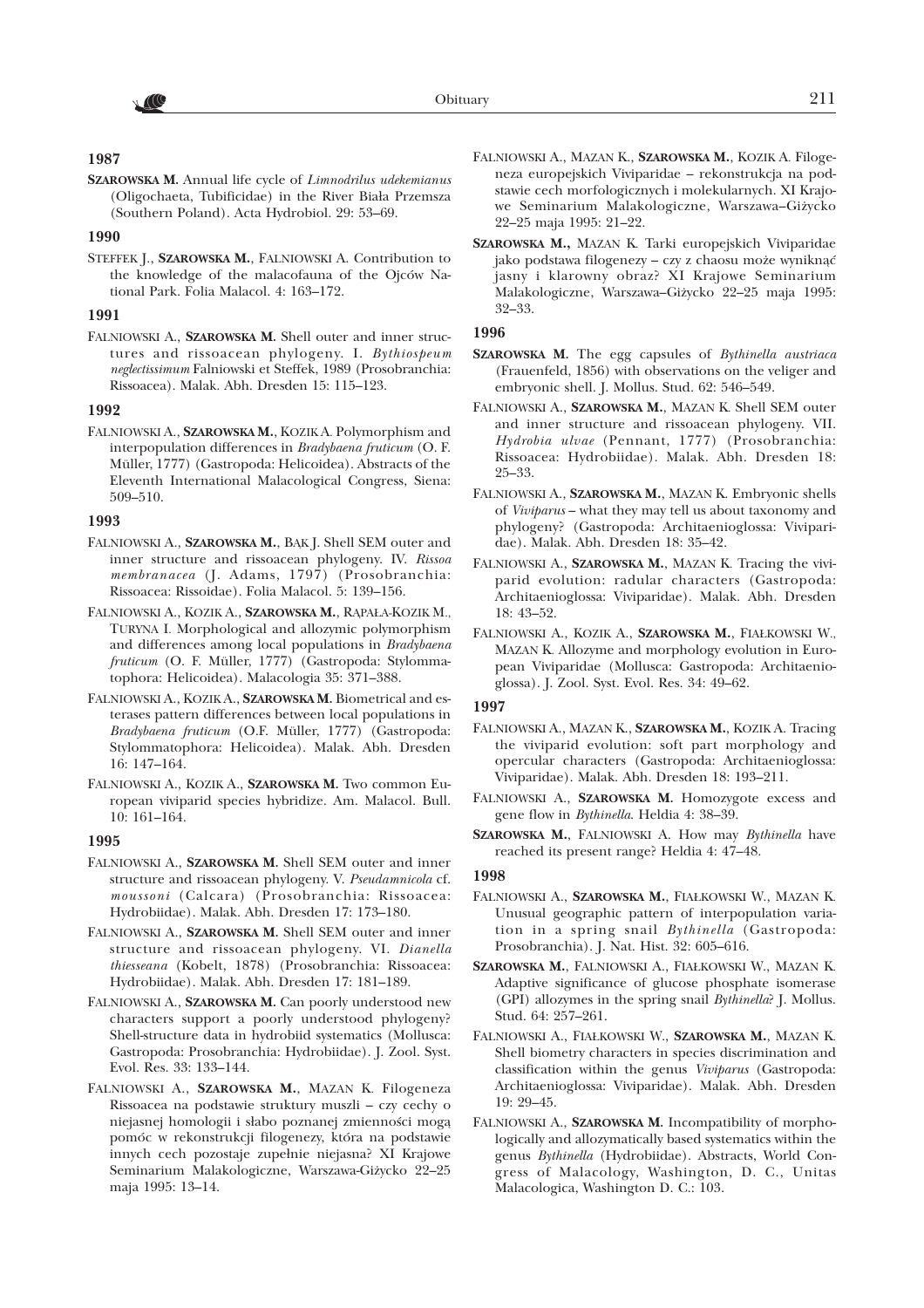# AC

# **1987**

**SZAROWSKA M.** Annual life cycle of *Limnodrilus udekemianus* (Oligochaeta, Tubificidae) in the River Biała Przemsza (Southern Poland). Acta Hydrobiol. 29: 53–69.

### **1990**

STEFFEK J., **SZAROWSKA M.**, FALNIOWSKI A. Contribution to the knowledge of the malacofauna of the Ojców National Park. Folia Malacol. 4: 163–172.

### **1991**

FALNIOWSKI A., **SZAROWSKA M.** Shell outer and inner structures and rissoacean phylogeny. I. *Bythiospeum neglectissimum* Falniowski et Steffek, 1989 (Prosobranchia: Rissoacea). Malak. Abh. Dresden 15: 115–123.

### **1992**

FALNIOWSKI A., **SZAROWSKA M.**, KOZIK A. Polymorphism and interpopulation differences in *Bradybaena fruticum* (O. F. Müller, 1777) (Gastropoda: Helicoidea). Abstracts of the Eleventh International Malacological Congress, Siena: 509–510.

### **1993**

- FALNIOWSKI A., SZAROWSKA M., BAK J. Shell SEM outer and inner structure and rissoacean phylogeny. IV. *Rissoa membranacea* (J. Adams, 1797) (Prosobranchia: Rissoacea: Rissoidae). Folia Malacol. 5: 139–156.
- FALNIOWSKI A., KOZIK A., SZAROWSKA M., RĄPAŁA-KOZIK M., TURYNA I. Morphological and allozymic polymorphism and differences among local populations in *Bradybaena fruticum* (O. F. Müller, 1777) (Gastropoda: Stylommatophora: Helicoidea). Malacologia 35: 371–388.
- FALNIOWSKI A., KOZIK A., **SZAROWSKA M.** Biometrical and esterases pattern differences between local populations in *Bradybaena fruticum* (O.F. Müller, 1777) (Gastropoda: Stylommatophora: Helicoidea). Malak. Abh. Dresden 16: 147–164.
- FALNIOWSKI A., KOZIK A., **SZAROWSKA M.** Two common European viviparid species hybridize. Am. Malacol. Bull. 10: 161–164.

### **1995**

- FALNIOWSKI A., **SZAROWSKA M.** Shell SEM outer and inner structure and rissoacean phylogeny. V. *Pseudamnicola* cf. *moussoni* (Calcara) (Prosobranchia: Rissoacea: Hydrobiidae). Malak. Abh. Dresden 17: 173–180.
- FALNIOWSKI A., **SZAROWSKA M.** Shell SEM outer and inner structure and rissoacean phylogeny. VI. *Dianella thiesseana* (Kobelt, 1878) (Prosobranchia: Rissoacea: Hydrobiidae). Malak. Abh. Dresden 17: 181–189.
- FALNIOWSKI A., **SZAROWSKA M.** Can poorly understood new characters support a poorly understood phylogeny? Shell-structure data in hydrobiid systematics (Mollusca: Gastropoda: Prosobranchia: Hydrobiidae). J. Zool. Syst. Evol. Res. 33: 133–144.
- FALNIOWSKI A., **SZAROWSKA M.**, MAZAN K. Filogeneza Rissoacea na podstawie struktury muszli – czy cechy o niejasnej homologii i słabo poznanej zmienności mogą pomóc w rekonstrukcji filogenezy, która na podstawie innych cech pozostaje zupełnie niejasna? XI Krajowe Seminarium Malakologiczne, Warszawa-Giżycko 22-25 maja 1995: 13–14.
- FALNIOWSKI A., MAZAN K., **SZAROWSKA M.**, KOZIK A. Filogeneza europejskich Viviparidae – rekonstrukcja na podstawie cech morfologicznych i molekularnych. XI Krajowe Seminarium Malakologiczne, Warszawa-Giżycko 22–25 maja 1995: 21–22.
- **SZAROWSKA M.,** MAZAN K. Tarki europejskich Viviparidae jako podstawa filogenezy – czy z chaosu może wyniknąć jasny i klarowny obraz? XI Krajowe Seminarium Malakologiczne, Warszawa-Giżycko 22-25 maja 1995: 32–33.

## **1996**

- **SZAROWSKA M.** The egg capsules of *Bythinella austriaca* (Frauenfeld, 1856) with observations on the veliger and embryonic shell. J. Mollus. Stud. 62: 546–549.
- FALNIOWSKI A., **SZAROWSKA M.**, MAZAN K. Shell SEM outer and inner structure and rissoacean phylogeny. VII. *Hydrobia ulvae* (Pennant, 1777) (Prosobranchia: Rissoacea: Hydrobiidae). Malak. Abh. Dresden 18: 25–33.
- FALNIOWSKI A., **SZAROWSKA M.**, MAZAN K. Embryonic shells of *Viviparus* – what they may tell us about taxonomy and phylogeny? (Gastropoda: Architaenioglossa: Viviparidae). Malak. Abh. Dresden 18: 35–42.
- FALNIOWSKI A., **SZAROWSKA M.**, MAZAN K. Tracing the viviparid evolution: radular characters (Gastropoda: Architaenioglossa: Viviparidae). Malak. Abh. Dresden 18: 43–52.
- FALNIOWSKI A., KOZIK A., **SZAROWSKA M.**, FIA£KOWSKI W., MAZAN K. Allozyme and morphology evolution in European Viviparidae (Mollusca: Gastropoda: Architaenioglossa). J. Zool. Syst. Evol. Res. 34: 49–62.

### **1997**

- FALNIOWSKI A., MAZAN K., **SZAROWSKA M.**, KOZIK A. Tracing the viviparid evolution: soft part morphology and opercular characters (Gastropoda: Architaenioglossa: Viviparidae). Malak. Abh. Dresden 18: 193–211.
- FALNIOWSKI A., **SZAROWSKA M.** Homozygote excess and gene flow in *Bythinella*. Heldia4: 38–39.
- **SZAROWSKA M.**, FALNIOWSKI A. How may *Bythinella* have reached its present range? Heldia 4: 47–48.

### **1998**

- FALNIOWSKI A., **SZAROWSKA M.**, FIA£KOWSKI W., MAZAN K. Unusual geographic pattern of interpopulation variation in aspring snail *Bythinella* (Gastropoda: Prosobranchia). J. Nat. Hist. 32: 605–616.
- **SZAROWSKA M.**, FALNIOWSKI A., FIA£KOWSKI W., MAZAN K. Adaptive significance of glucose phosphate isomerase (GPI) allozymes in the spring snail *Bythinella*? J. Mollus. Stud. 64: 257–261.
- FALNIOWSKI A., FIA£KOWSKI W., **SZAROWSKA M.**, MAZAN K. Shell biometry characters in species discrimination and classification within the genus *Viviparus* (Gastropoda: Architaenioglossa: Viviparidae). Malak. Abh. Dresden 19: 29–45.
- FALNIOWSKI A., **SZAROWSKA M.** Incompatibility of morphologically and allozymatically based systematics within the genus *Bythinella* (Hydrobiidae). Abstracts, World Congress of Malacology, Washington, D. C., Unitas Malacologica, Washington D. C.: 103.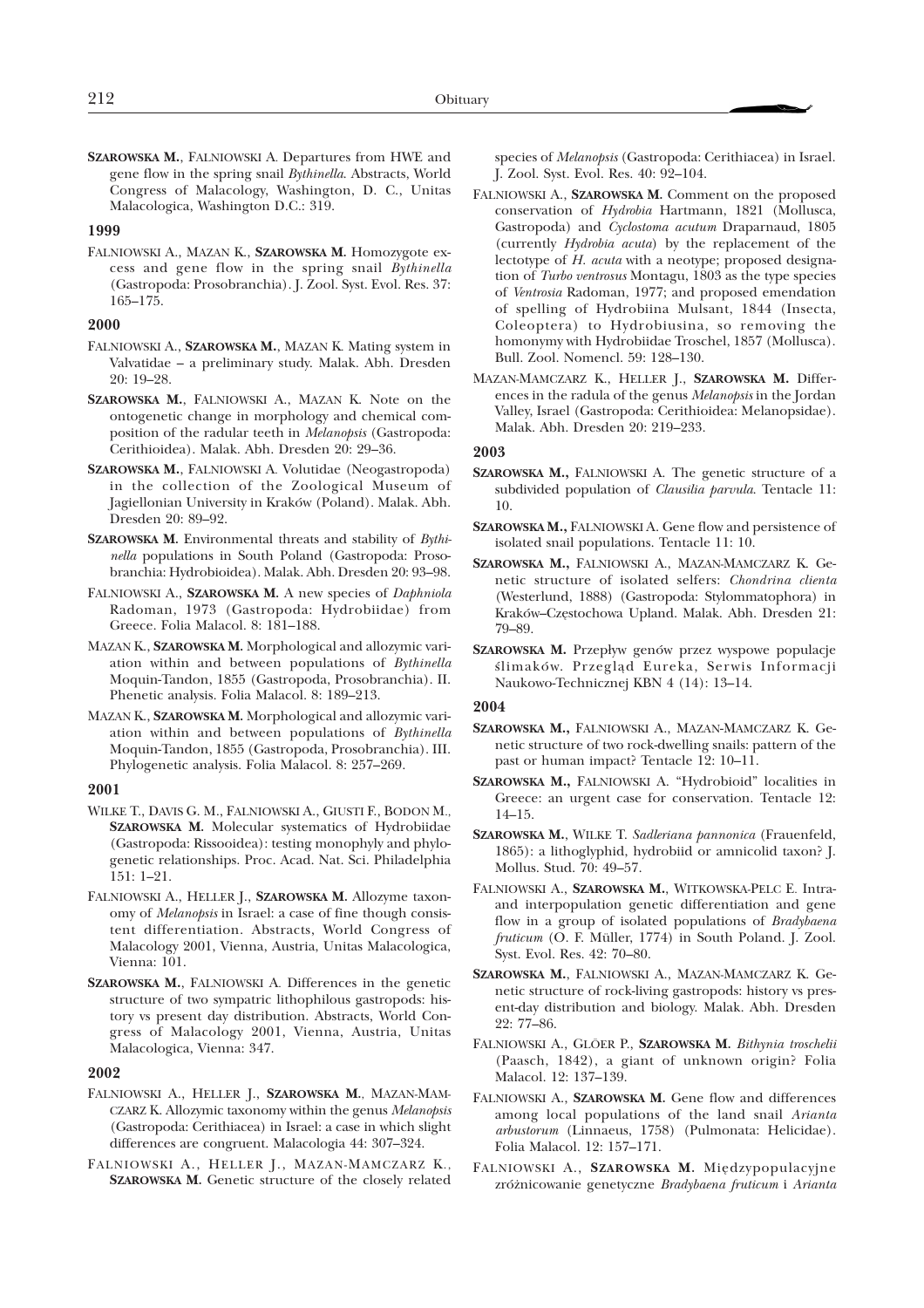**SZAROWSKA M.**, FALNIOWSKI A. Departures from HWE and gene flow in the spring snail *Bythinella*. Abstracts, World Congress of Malacology, Washington, D. C., Unitas Malacologica, Washington D.C.: 319.

#### **1999**

FALNIOWSKI A., MAZAN K., **SZAROWSKA M.** Homozygote excess and gene flow in the spring snail *Bythinella* (Gastropoda: Prosobranchia). J. Zool. Syst. Evol. Res. 37: 165–175.

#### **2000**

- FALNIOWSKI A., **SZAROWSKA M.**, MAZAN K. Mating system in Valvatidae – a preliminary study. Malak. Abh. Dresden 20: 19–28.
- **SZAROWSKA M.**, FALNIOWSKI A., MAZAN K. Note on the ontogenetic change in morphology and chemical composition of the radular teeth in *Melanopsis* (Gastropoda: Cerithioidea). Malak. Abh. Dresden 20: 29–36.
- **SZAROWSKA M.**, FALNIOWSKI A. Volutidae (Neogastropoda) in the collection of the Zoological Museum of Jagiellonian University in Kraków (Poland). Malak. Abh. Dresden 20: 89–92.
- **SZAROWSKA M.** Environmental threats and stability of *Bythinella* populations in South Poland (Gastropoda: Prosobranchia: Hydrobioidea). Malak. Abh. Dresden 20: 93–98.
- FALNIOWSKI A., **SZAROWSKA M.** A new species of *Daphniola* Radoman, 1973 (Gastropoda: Hydrobiidae) from Greece. Folia Malacol. 8: 181–188.
- MAZAN K., **SZAROWSKA M.** Morphological and allozymic variation within and between populations of *Bythinella* Moquin-Tandon, 1855 (Gastropoda, Prosobranchia). II. Phenetic analysis. Folia Malacol. 8: 189–213.
- MAZAN K., **SZAROWSKA M.** Morphological and allozymic variation within and between populations of *Bythinella* Moquin-Tandon, 1855 (Gastropoda, Prosobranchia). III. Phylogenetic analysis. Folia Malacol. 8: 257–269.

### **2001**

- WILKE T., DAVIS G. M., FALNIOWSKI A., GIUSTI F., BODON M., **SZAROWSKA M.** Molecular systematics of Hydrobiidae (Gastropoda: Rissooidea): testing monophyly and phylogenetic relationships. Proc. Acad. Nat. Sci. Philadelphia 151: 1–21.
- FALNIOWSKI A., HELLER J., **SZAROWSKA M.** Allozyme taxonomy of *Melanopsis* in Israel: a case of fine though consistent differentiation. Abstracts, World Congress of Malacology 2001, Vienna, Austria, Unitas Malacologica, Vienna: 101.
- **SZAROWSKA M.**, FALNIOWSKI A. Differences in the genetic structure of two sympatric lithophilous gastropods: history vs present day distribution. Abstracts, World Congress of Malacology 2001, Vienna, Austria, Unitas Malacologica, Vienna: 347.

#### **2002**

- FALNIOWSKI A., HELLER J., **SZAROWSKA M.**, MAZAN-MAM-CZARZ K. Allozymic taxonomy within the genus *Melanopsis* (Gastropoda: Cerithiacea) in Israel: a case in which slight differences are congruent. Malacologia 44: 307–324.
- FALNIOWSKI A., HELLER J., MAZAN-MAMCZARZ K., **SZAROWSKA M.** Genetic structure of the closely related

species of *Melanopsis* (Gastropoda: Cerithiacea) in Israel. J. Zool. Syst. Evol. Res. 40: 92–104.

- FALNIOWSKI A., **SZAROWSKA M.** Comment on the proposed conservation of *Hydrobia* Hartmann, 1821 (Mollusca, Gastropoda) and *Cyclostoma acutum* Draparnaud, 1805 (currently *Hydrobia acuta*) by the replacement of the lectotype of *H. acuta* with a neotype; proposed designation of *Turbo ventrosus* Montagu, 1803 as the type species of *Ventrosia* Radoman, 1977; and proposed emendation of spelling of Hydrobiina Mulsant, 1844 (Insecta, Coleoptera) to Hydrobiusina, so removing the homonymy with Hydrobiidae Troschel, 1857 (Mollusca). Bull. Zool. Nomencl. 59: 128–130.
- MAZAN-MAMCZARZ K., HELLER J., **SZAROWSKA M.** Differences in the radula of the genus *Melanopsis* in the Jordan Valley, Israel (Gastropoda: Cerithioidea: Melanopsidae). Malak. Abh. Dresden 20: 219–233.

#### **2003**

- **SZAROWSKA M.,** FALNIOWSKI A. The genetic structure of a subdivided population of *Clausilia parvula*. Tentacle 11: 10.
- **SZAROWSKA M.,** FALNIOWSKI A. Gene flow and persistence of isolated snail populations. Tentacle 11: 10.
- **SZAROWSKA M.,** FALNIOWSKI A., MAZAN-MAMCZARZ K. Genetic structure of isolated selfers: *Chondrina clienta* (Westerlund, 1888) (Gastropoda: Stylommatophora) in Kraków–Czêstochowa Upland. Malak. Abh. Dresden 21: 79–89.
- SZAROWSKA M. Przepływ genów przez wyspowe populacje ślimaków. Przegląd Eureka, Serwis Informacji Naukowo-Technicznej KBN 4 (14): 13–14.

### **2004**

- **SZAROWSKA M.,** FALNIOWSKI A., MAZAN-MAMCZARZ K. Genetic structure of two rock-dwelling snails: pattern of the past or human impact? Tentacle 12: 10–11.
- **SZAROWSKA M.,** FALNIOWSKI A. "Hydrobioid" localities in Greece: an urgent case for conservation. Tentacle 12: 14–15.
- **SZAROWSKA M.**, WILKE T. *Sadleriana pannonica* (Frauenfeld, 1865): a lithoglyphid, hydrobiid or amnicolid taxon? J. Mollus. Stud. 70: 49–57.
- FALNIOWSKI A., **SZAROWSKA M.**, WITKOWSKA-PELC E. Intraand interpopulation genetic differentiation and gene flow in a group of isolated populations of *Bradybaena fruticum* (O. F. Müller, 1774) in South Poland. J. Zool. Syst. Evol. Res. 42: 70–80.
- **SZAROWSKA M.**, FALNIOWSKI A., MAZAN-MAMCZARZ K. Genetic structure of rock-living gastropods: history vs present-day distribution and biology. Malak. Abh. Dresden 22: 77–86.
- FALNIOWSKI A., GLÖER P., **SZAROWSKA M.** *Bithynia troschelii* (Paasch, 1842), a giant of unknown origin? Folia Malacol. 12: 137–139.
- FALNIOWSKI A., **SZAROWSKA M.** Gene flow and differences among local populations of the land snail *Arianta arbustorum* (Linnaeus, 1758) (Pulmonata: Helicidae). Folia Malacol. 12: 157–171.
- FALNIOWSKI A., **SZAROWSKA M.** Miêdzypopulacyjne zró¿nicowanie genetyczne *Bradybaena fruticum* i *Arianta*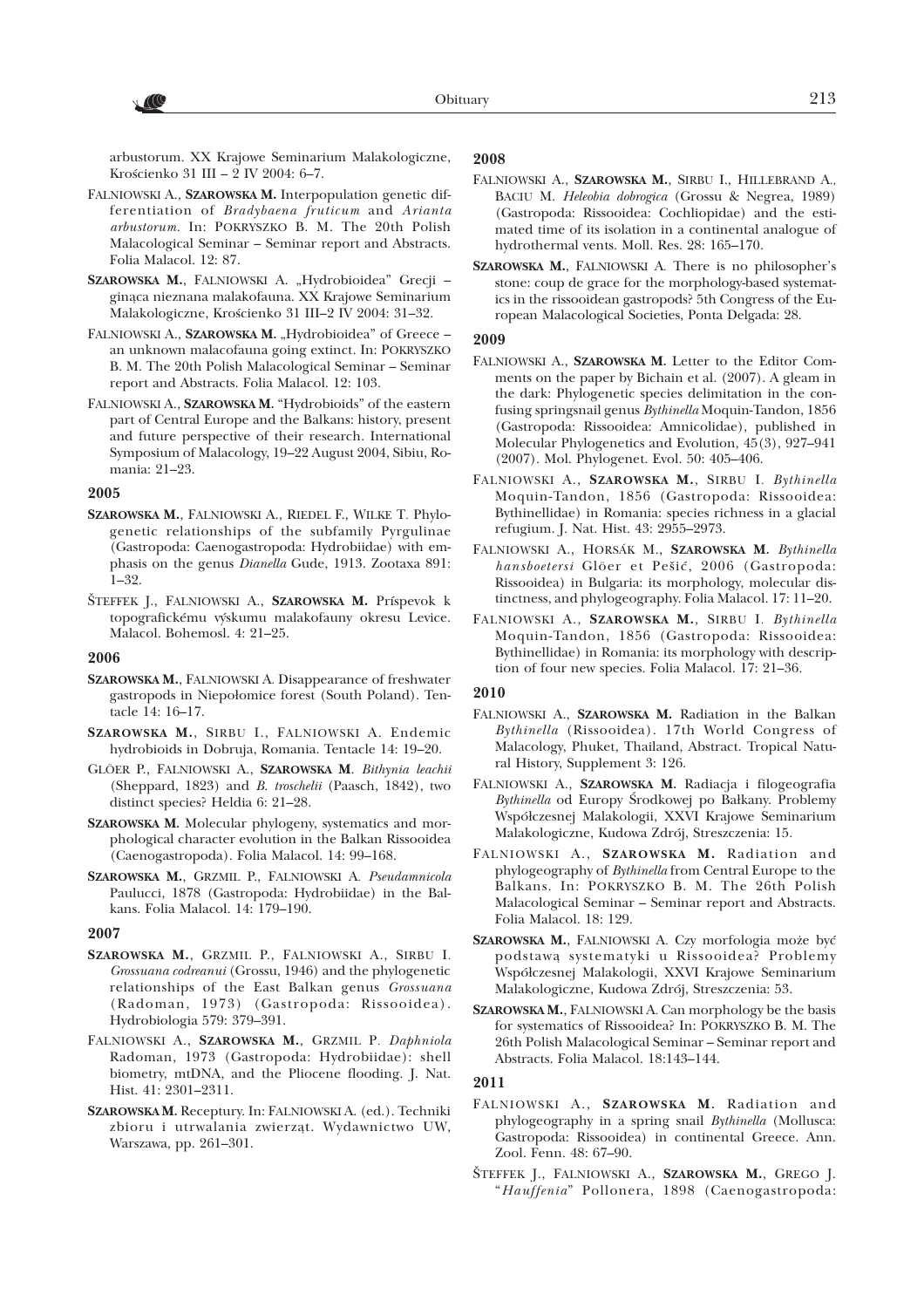arbustorum. XX Krajowe Seminarium Malakologiczne, Krościenko 31 III – 2 IV 2004: 6–7.

- FALNIOWSKI A., **SZAROWSKA M.** Interpopulation genetic differentiation of *Bradybaena fruticum* and *Arianta arbustorum.* In: POKRYSZKO B. M. The 20th Polish Malacological Seminar – Seminar report and Abstracts. Folia Malacol. 12: 87.
- SZAROWSKA M., FALNIOWSKI A. "Hydrobioidea" Grecji ginąca nieznana malakofauna. XX Krajowe Seminarium Malakologiczne, Krościenko 31 III-2 IV 2004: 31-32.
- FALNIOWSKI A., SZAROWSKA M., Hydrobioidea" of Greece an unknown malacofauna going extinct*.* In: POKRYSZKO B. M. The 20th Polish Malacological Seminar – Seminar report and Abstracts. Folia Malacol. 12: 103.
- FALNIOWSKI A., **SZAROWSKA M.** "Hydrobioids" of the eastern part of Central Europe and the Balkans: history, present and future perspective of their research. International Symposium of Malacology, 19–22 August 2004, Sibiu, Romania: 21–23.

#### **2005**

- **SZAROWSKA M.**, FALNIOWSKI A., RIEDEL F., WILKE T. Phylogenetic relationships of the subfamily Pyrgulinae (Gastropoda: Caenogastropoda: Hydrobiidae) with emphasis on the genus *Dianella* Gude, 1913. Zootaxa 891: 1–32.
- ŠTEFFEK J., FALNIOWSKI A., **SZAROWSKA M.** Príspevok k topografickému výskumu malakofauny okresu Levice. Malacol. Bohemosl. 4: 21–25.

#### **2006**

- **SZAROWSKA M.**, FALNIOWSKI A. Disappearance of freshwater gastropods in Niepołomice forest (South Poland). Tentacle 14: 16–17.
- **SZAROWSKA M.**, SIRBU I., FALNIOWSKI A. Endemic hydrobioids in Dobruja, Romania. Tentacle 14: 19–20.
- GLÖER P., FALNIOWSKI A., **SZAROWSKA M**. *Bithynia leachii* (Sheppard, 1823) and *B. troschelii* (Paasch, 1842), two distinct species? Heldia 6: 21-28.
- **SZAROWSKA M.** Molecular phylogeny, systematics and morphological character evolution in the Balkan Rissooidea (Caenogastropoda). Folia Malacol. 14: 99–168.
- **SZAROWSKA M.**, GRZMIL P., FALNIOWSKI A. *Pseudamnicola* Paulucci, 1878 (Gastropoda: Hydrobiidae) in the Balkans. Folia Malacol. 14: 179–190.

#### **2007**

- **SZAROWSKA M.**, GRZMIL P., FALNIOWSKI A., SIRBU I. *Grossuana codreanui* (Grossu, 1946) and the phylogenetic relationships of the East Balkan genus *Grossuana* (Radoman, 1973) (Gastropoda: Rissooidea). Hydrobiologia579: 379–391.
- FALNIOWSKI A., **SZAROWSKA M.**, GRZMIL P. *Daphniola* Radoman, 1973 (Gastropoda: Hydrobiidae): shell biometry, mtDNA, and the Pliocene flooding. J. Nat. Hist. 41: 2301–2311.
- **SZAROWSKA M.** Receptury. In: FALNIOWSKI A. (ed.). Techniki zbioru i utrwalania zwierząt. Wydawnictwo UW, Warszawa, pp. 261–301.

# **2008**

- FALNIOWSKI A., **SZAROWSKA M.**, SIRBU I., HILLEBRAND A., BACIU M. *Heleobia dobrogica* (Grossu & Negrea, 1989) (Gastropoda: Rissooidea: Cochliopidae) and the estimated time of its isolation in a continental analogue of hydrothermal vents. Moll. Res. 28: 165–170.
- **SZAROWSKA M.**, FALNIOWSKI A. There is no philosopher's stone: coup de grace for the morphology-based systematics in the rissooidean gastropods? 5th Congress of the European Malacological Societies, Ponta Delgada: 28.

#### **2009**

- FALNIOWSKI A., **SZAROWSKA M.** Letter to the Editor Comments on the paper by Bichain et al. (2007). A gleam in the dark: Phylogenetic species delimitation in the confusing springsnail genus *Bythinella* Moquin-Tandon, 1856 (Gastropoda: Rissooidea: Amnicolidae), published in Molecular Phylogenetics and Evolution, 45(3), 927–941 (2007). Mol. Phylogenet. Evol. 50: 405–406.
- FALNIOWSKI A., **SZAROWSKA M.**, SIRBU I. *Bythinella* Moquin-Tandon, 1856 (Gastropoda: Rissooidea: Bythinellidae) in Romania: species richness in a glacial refugium. J. Nat. Hist. 43: 2955–2973.
- FALNIOWSKI A., HORSÁK M., **SZAROWSKA M.** *Bythinella hansboetersi* Glöer et Pešić, 2006 (Gastropoda: Rissooidea) in Bulgaria: its morphology, molecular distinctness, and phylogeography. Folia Malacol. 17: 11–20.
- FALNIOWSKI A., **SZAROWSKA M.**, SIRBU I. *Bythinella* Moquin-Tandon, 1856 (Gastropoda: Rissooidea: Bythinellidae) in Romania: its morphology with description of four new species. Folia Malacol. 17: 21–36.

#### **2010**

- FALNIOWSKI A., **SZAROWSKA M.** Radiation in the Balkan *Bythinella* (Rissooidea). 17th World Congress of Malacology, Phuket, Thailand, Abstract. Tropical Natural History, Supplement 3: 126.
- FALNIOWSKI A., **SZAROWSKA M.** Radiacja i filogeografia *Bythinella* od Europy Środkowej po Bałkany. Problemy Współczesnej Malakologii, XXVI Krajowe Seminarium Malakologiczne, Kudowa Zdrój, Streszczenia: 15.
- FALNIOWSKI A., **SZAROWSKA M.** Radiation and phylogeography of *Bythinella* from Central Europe to the Balkans. In: POKRYSZKO B. M. The 26th Polish Malacological Seminar – Seminar report and Abstracts. Folia Malacol. 18: 129.
- SZAROWSKA M., FALNIOWSKI A. Czy morfologia może być podstawą systematyki u Rissooidea? Problemy Współczesnej Malakologii, XXVI Krajowe Seminarium Malakologiczne, Kudowa Zdrój, Streszczenia: 53.
- **SZAROWSKA M.**, FALNIOWSKI A. Can morphology be the basis for systematics of Rissooidea? In: POKRYSZKO B. M. The 26th Polish Malacological Seminar – Seminar report and Abstracts. Folia Malacol. 18:143–144.

#### **2011**

- FALNIOWSKI A., **SZAROWSKA M.** Radiation and phylogeography in a spring snail *Bythinella* (Mollusca: Gastropoda: Rissooidea) in continental Greece. Ann. Zool. Fenn. 48: 67–90.
- ŠTEFFEK J., FALNIOWSKI A., **SZAROWSKA M.**, GREGO J. "*Hauffenia*" Pollonera, 1898 (Caenogastropoda: